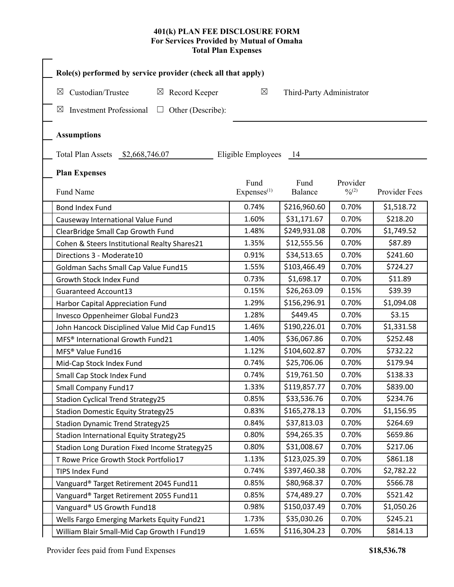## **401(k) PLAN FEE DISCLOSURE FORM For Services Provided by Mutual of Omaha Total Plan Expenses**

| Custodian/Trustee<br>$\boxtimes$ Record Keeper<br>$\boxtimes$      | $\boxtimes$                    | Third-Party Administrator |                      |               |
|--------------------------------------------------------------------|--------------------------------|---------------------------|----------------------|---------------|
| <b>Investment Professional</b><br>Other (Describe):<br>⊠<br>$\Box$ |                                |                           |                      |               |
| <b>Assumptions</b>                                                 |                                |                           |                      |               |
| Total Plan Assets \$2,668,746.07                                   | Eligible Employees             | - 14                      |                      |               |
| <b>Plan Expenses</b>                                               |                                |                           |                      |               |
| Fund Name                                                          | Fund<br>Express <sup>(1)</sup> | Fund<br>Balance           | Provider<br>$^{0/2}$ | Provider Fees |
| <b>Bond Index Fund</b>                                             | 0.74%                          | \$216,960.60              | 0.70%                | \$1,518.72    |
| Causeway International Value Fund                                  | 1.60%                          | \$31,171.67               | 0.70%                | \$218.20      |
| ClearBridge Small Cap Growth Fund                                  | 1.48%                          | \$249,931.08              | 0.70%                | \$1,749.52    |
| Cohen & Steers Institutional Realty Shares21                       | 1.35%                          | \$12,555.56               | 0.70%                | \$87.89       |
| Directions 3 - Moderate10                                          | 0.91%                          | \$34,513.65               | 0.70%                | \$241.60      |
| Goldman Sachs Small Cap Value Fund15                               | 1.55%                          | \$103,466.49              | 0.70%                | \$724.27      |
| Growth Stock Index Fund                                            | 0.73%                          | \$1,698.17                | 0.70%                | \$11.89       |
| <b>Guaranteed Account13</b>                                        | 0.15%                          | \$26,263.09               | 0.15%                | \$39.39       |
| Harbor Capital Appreciation Fund                                   | 1.29%                          | \$156,296.91              | 0.70%                | \$1,094.08    |
| Invesco Oppenheimer Global Fund23                                  | 1.28%                          | \$449.45                  | 0.70%                | \$3.15        |
| John Hancock Disciplined Value Mid Cap Fund15                      | 1.46%                          | \$190,226.01              | 0.70%                | \$1,331.58    |
| MFS <sup>®</sup> International Growth Fund21                       | 1.40%                          | \$36,067.86               | 0.70%                | \$252.48      |
| MFS <sup>®</sup> Value Fund16                                      | 1.12%                          | \$104,602.87              | 0.70%                | \$732.22      |
| Mid-Cap Stock Index Fund                                           | 0.74%                          | \$25,706.06               | 0.70%                | \$179.94      |
| Small Cap Stock Index Fund                                         | 0.74%                          | \$19,761.50               | 0.70%                | \$138.33      |
| Small Company Fund17                                               | 1.33%                          | \$119,857.77              | 0.70%                | \$839.00      |
| <b>Stadion Cyclical Trend Strategy25</b>                           | 0.85%                          | \$33,536.76               | 0.70%                | \$234.76      |
| <b>Stadion Domestic Equity Strategy25</b>                          | 0.83%                          | \$165,278.13              | 0.70%                | \$1,156.95    |
| <b>Stadion Dynamic Trend Strategy25</b>                            | 0.84%                          | \$37,813.03               | 0.70%                | \$264.69      |
| Stadion International Equity Strategy25                            | 0.80%                          | \$94,265.35               | 0.70%                | \$659.86      |
| Stadion Long Duration Fixed Income Strategy25                      | 0.80%                          | \$31,008.67               | 0.70%                | \$217.06      |
| T Rowe Price Growth Stock Portfolio17                              | 1.13%                          | \$123,025.39              | 0.70%                | \$861.18      |
| TIPS Index Fund                                                    | 0.74%                          | \$397,460.38              | 0.70%                | \$2,782.22    |
| Vanguard® Target Retirement 2045 Fund11                            | 0.85%                          | \$80,968.37               | 0.70%                | \$566.78      |
| Vanguard® Target Retirement 2055 Fund11                            | 0.85%                          | \$74,489.27               | 0.70%                | \$521.42      |
| Vanguard® US Growth Fund18                                         | 0.98%                          | \$150,037.49              | 0.70%                | \$1,050.26    |
| Wells Fargo Emerging Markets Equity Fund21                         | 1.73%                          | \$35,030.26               | 0.70%                | \$245.21      |
| William Blair Small-Mid Cap Growth I Fund19                        | 1.65%                          | \$116,304.23              | 0.70%                | \$814.13      |

Provider fees paid from Fund Expenses **\$18,536.78**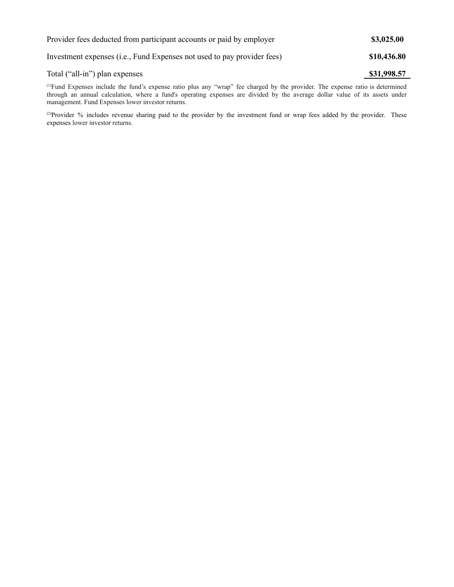| Provider fees deducted from participant accounts or paid by employer    | \$3,025.00  |  |
|-------------------------------------------------------------------------|-------------|--|
| Investment expenses (i.e., Fund Expenses not used to pay provider fees) | \$10,436.80 |  |
| Total ("all-in") plan expenses                                          | \$31,998.57 |  |

(1)Fund Expenses include the fund's expense ratio plus any "wrap" fee charged by the provider. The expense ratio is determined through an annual calculation, where a fund's operating expenses are divided by the average dollar value of its assets under management. Fund Expenses lower investor returns.

<sup>(2)</sup>Provider % includes revenue sharing paid to the provider by the investment fund or wrap fees added by the provider. These expenses lower investor returns.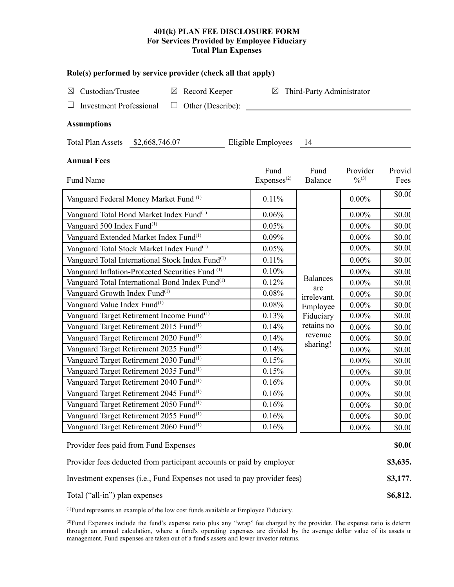## **401(k) PLAN FEE DISCLOSURE FORM For Services Provided by Employee Fiduciary Total Plan Expenses**

## **Role(s) performed by service provider (check all that apply)**

| ROIC(3) performed by service provider (check an mat apply)       |                                          |                                   |           |        |  |  |
|------------------------------------------------------------------|------------------------------------------|-----------------------------------|-----------|--------|--|--|
| Custodian/Trustee<br>Record Keeper<br>$\boxtimes$<br>$\boxtimes$ | Third-Party Administrator<br>$\boxtimes$ |                                   |           |        |  |  |
| <b>Investment Professional</b><br>Other (Describe):<br>ப         |                                          |                                   |           |        |  |  |
|                                                                  |                                          |                                   |           |        |  |  |
| <b>Assumptions</b>                                               |                                          |                                   |           |        |  |  |
| Total Plan Assets \$2,668,746.07                                 | Eligible Employees                       | - 14                              |           |        |  |  |
| <b>Annual Fees</b>                                               |                                          |                                   |           |        |  |  |
|                                                                  | Fund                                     | Fund                              | Provider  | Provid |  |  |
| Fund Name                                                        | Express <sup>(2)</sup>                   | <b>Balance</b>                    | $^{0/3)}$ | Fees   |  |  |
| Vanguard Federal Money Market Fund <sup>(1)</sup>                | 0.11%                                    |                                   | $0.00\%$  | \$0.00 |  |  |
| Vanguard Total Bond Market Index Fund <sup>(1)</sup>             | 0.06%                                    |                                   | $0.00\%$  | \$0.00 |  |  |
| Vanguard 500 Index Fund <sup>(1)</sup>                           | 0.05%                                    |                                   | $0.00\%$  | \$0.00 |  |  |
| Vanguard Extended Market Index Fund <sup>(1)</sup>               | 0.09%                                    |                                   | $0.00\%$  | \$0.00 |  |  |
| Vanguard Total Stock Market Index Fund <sup>(1)</sup>            | 0.05%                                    |                                   | $0.00\%$  | \$0.00 |  |  |
| Vanguard Total International Stock Index Fund <sup>(1)</sup>     | 0.11%                                    |                                   | $0.00\%$  | \$0.00 |  |  |
| Vanguard Inflation-Protected Securities Fund <sup>(1)</sup>      | 0.10%                                    |                                   | $0.00\%$  | \$0.00 |  |  |
| Vanguard Total International Bond Index Fund <sup>(1)</sup>      | 0.12%                                    | <b>Balances</b><br>are            | $0.00\%$  | \$0.00 |  |  |
| Vanguard Growth Index Fund <sup>(1)</sup>                        | 0.08%                                    | irrelevant.                       | $0.00\%$  | \$0.00 |  |  |
| Vanguard Value Index Fund <sup>(1)</sup>                         | 0.08%                                    | Employee                          | $0.00\%$  | \$0.00 |  |  |
| Vanguard Target Retirement Income Fund <sup>(1)</sup>            | 0.13%                                    | Fiduciary                         | $0.00\%$  | \$0.00 |  |  |
| Vanguard Target Retirement 2015 Fund <sup>(1)</sup>              | 0.14%                                    | retains no<br>revenue<br>sharing! | $0.00\%$  | \$0.00 |  |  |
| Vanguard Target Retirement 2020 Fund <sup>(1)</sup>              | 0.14%                                    |                                   | $0.00\%$  | \$0.00 |  |  |
| Vanguard Target Retirement 2025 Fund <sup>(1)</sup>              | 0.14%                                    |                                   | $0.00\%$  | \$0.00 |  |  |
| Vanguard Target Retirement 2030 Fund <sup>(1)</sup>              | 0.15%                                    |                                   | $0.00\%$  | \$0.00 |  |  |
| Vanguard Target Retirement 2035 Fund <sup>(1)</sup>              | 0.15%                                    |                                   | $0.00\%$  | \$0.00 |  |  |
| Vanguard Target Retirement 2040 Fund <sup>(1)</sup>              | 0.16%                                    | $0.00\%$                          |           | \$0.00 |  |  |
| Vanguard Target Retirement 2045 Fund <sup>(1)</sup>              | 0.16%                                    | $0.00\%$                          |           | \$0.00 |  |  |

(1)Fund represents an example of the low cost funds available at Employee Fiduciary.

Vanguard Target Retirement 2050 Fund

Vanguard Target Retirement 2055 Fund

Vanguard Target Retirement 2060 Fund

( $2$ )Fund Expenses include the fund's expense ratio plus any "wrap" fee charged by the provider. The expense ratio is determinationthrough an annual calculation, where a fund's operating expenses are divided by the average dollar value of its assets un management. Fund expenses are taken out of a fund's assets and lower investor returns.

Provider fees paid from Fund Expenses **\$0.00** 

Provider fees deducted from participant accounts or paid by employer **\$3,635.** 

Investment expenses (i.e., Fund Expenses not used to pay provider fees) **\$3,177.**

Total ("all-in") plan expenses **\$6,812. \$6,812.** 

(1) 0.16% 0.00% \$0.00

(1) 0.16% 0.00% \$0.00

 $0.16\%$   $0.00\%$  \$0.00